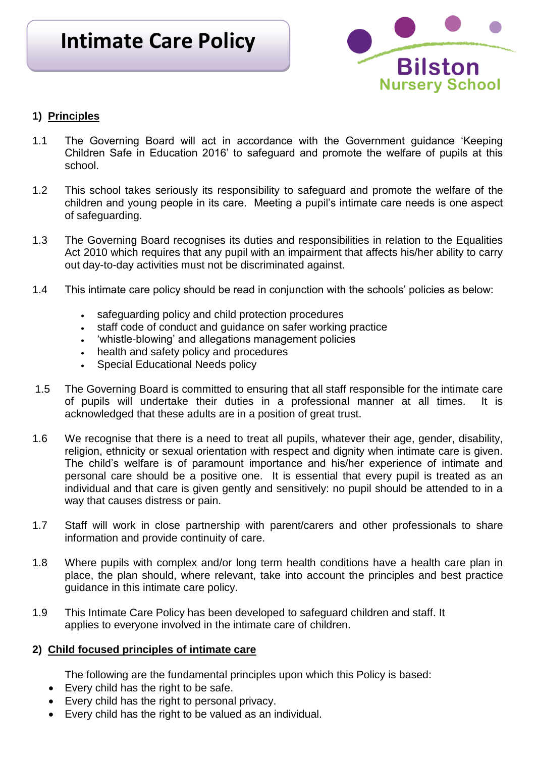# **Intimate Care Policy**



# **1) Principles**

- 1.1 The Governing Board will act in accordance with the Government guidance 'Keeping Children Safe in Education 2016' to safeguard and promote the welfare of pupils at this school.
- 1.2 This school takes seriously its responsibility to safeguard and promote the welfare of the children and young people in its care. Meeting a pupil's intimate care needs is one aspect of safeguarding.
- 1.3 The Governing Board recognises its duties and responsibilities in relation to the Equalities Act 2010 which requires that any pupil with an impairment that affects his/her ability to carry out day-to-day activities must not be discriminated against.
- 1.4 This intimate care policy should be read in conjunction with the schools' policies as below:
	- safeguarding policy and child protection procedures
	- staff code of conduct and quidance on safer working practice
	- 'whistle-blowing' and allegations management policies
	- health and safety policy and procedures
	- Special Educational Needs policy
- 1.5 The Governing Board is committed to ensuring that all staff responsible for the intimate care of pupils will undertake their duties in a professional manner at all times. It is acknowledged that these adults are in a position of great trust.
- 1.6 We recognise that there is a need to treat all pupils, whatever their age, gender, disability, religion, ethnicity or sexual orientation with respect and dignity when intimate care is given. The child's welfare is of paramount importance and his/her experience of intimate and personal care should be a positive one. It is essential that every pupil is treated as an individual and that care is given gently and sensitively: no pupil should be attended to in a way that causes distress or pain.
- 1.7 Staff will work in close partnership with parent/carers and other professionals to share information and provide continuity of care.
- 1.8 Where pupils with complex and/or long term health conditions have a health care plan in place, the plan should, where relevant, take into account the principles and best practice guidance in this intimate care policy.
- 1.9 This Intimate Care Policy has been developed to safeguard children and staff. It applies to everyone involved in the intimate care of children.

## **2) Child focused principles of intimate care**

The following are the fundamental principles upon which this Policy is based:

- Every child has the right to be safe.
- Every child has the right to personal privacy.
- Every child has the right to be valued as an individual.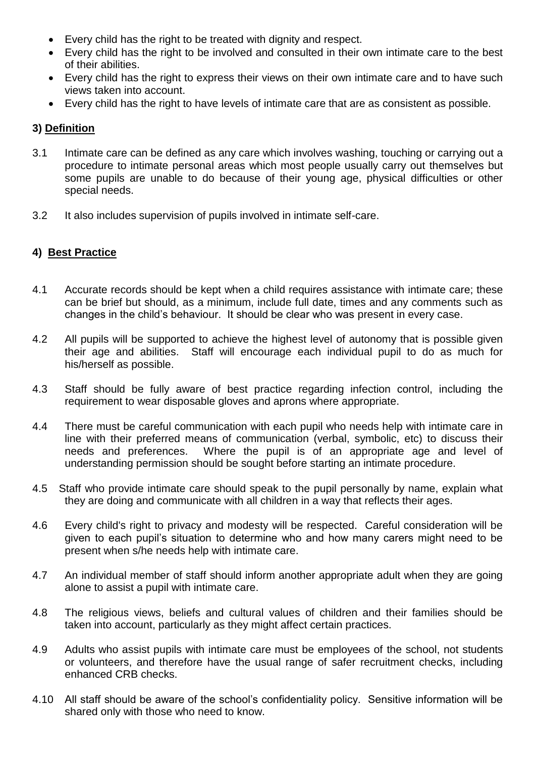- Every child has the right to be treated with dignity and respect.
- Every child has the right to be involved and consulted in their own intimate care to the best of their abilities.
- Every child has the right to express their views on their own intimate care and to have such views taken into account.
- Every child has the right to have levels of intimate care that are as consistent as possible.

### **3) Definition**

- 3.1 Intimate care can be defined as any care which involves washing, touching or carrying out a procedure to intimate personal areas which most people usually carry out themselves but some pupils are unable to do because of their young age, physical difficulties or other special needs.
- 3.2 It also includes supervision of pupils involved in intimate self-care.

### **4) Best Practice**

- 4.1 Accurate records should be kept when a child requires assistance with intimate care; these can be brief but should, as a minimum, include full date, times and any comments such as changes in the child's behaviour. It should be clear who was present in every case.
- 4.2 All pupils will be supported to achieve the highest level of autonomy that is possible given their age and abilities. Staff will encourage each individual pupil to do as much for his/herself as possible.
- 4.3 Staff should be fully aware of best practice regarding infection control, including the requirement to wear disposable gloves and aprons where appropriate.
- 4.4 There must be careful communication with each pupil who needs help with intimate care in line with their preferred means of communication (verbal, symbolic, etc) to discuss their needs and preferences. Where the pupil is of an appropriate age and level of understanding permission should be sought before starting an intimate procedure.
- 4.5 Staff who provide intimate care should speak to the pupil personally by name, explain what they are doing and communicate with all children in a way that reflects their ages.
- 4.6 Every child's right to privacy and modesty will be respected. Careful consideration will be given to each pupil's situation to determine who and how many carers might need to be present when s/he needs help with intimate care.
- 4.7 An individual member of staff should inform another appropriate adult when they are going alone to assist a pupil with intimate care.
- 4.8 The religious views, beliefs and cultural values of children and their families should be taken into account, particularly as they might affect certain practices.
- 4.9 Adults who assist pupils with intimate care must be employees of the school, not students or volunteers, and therefore have the usual range of safer recruitment checks, including enhanced CRB checks.
- 4.10 All staff should be aware of the school's confidentiality policy. Sensitive information will be shared only with those who need to know.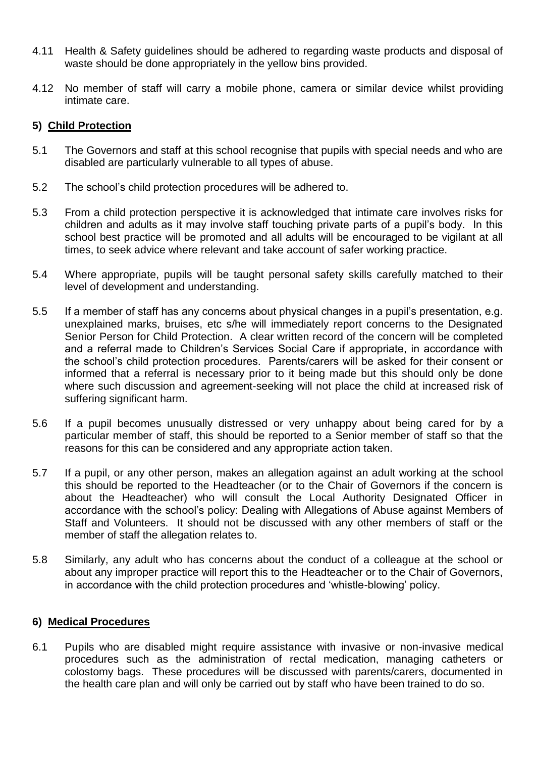- 4.11 Health & Safety guidelines should be adhered to regarding waste products and disposal of waste should be done appropriately in the yellow bins provided.
- 4.12 No member of staff will carry a mobile phone, camera or similar device whilst providing intimate care.

#### **5) Child Protection**

- 5.1 The Governors and staff at this school recognise that pupils with special needs and who are disabled are particularly vulnerable to all types of abuse.
- 5.2 The school's child protection procedures will be adhered to.
- 5.3 From a child protection perspective it is acknowledged that intimate care involves risks for children and adults as it may involve staff touching private parts of a pupil's body. In this school best practice will be promoted and all adults will be encouraged to be vigilant at all times, to seek advice where relevant and take account of safer working practice.
- 5.4 Where appropriate, pupils will be taught personal safety skills carefully matched to their level of development and understanding.
- 5.5 If a member of staff has any concerns about physical changes in a pupil's presentation, e.g. unexplained marks, bruises, etc s/he will immediately report concerns to the Designated Senior Person for Child Protection. A clear written record of the concern will be completed and a referral made to Children's Services Social Care if appropriate, in accordance with the school's child protection procedures. Parents/carers will be asked for their consent or informed that a referral is necessary prior to it being made but this should only be done where such discussion and agreement-seeking will not place the child at increased risk of suffering significant harm.
- 5.6 If a pupil becomes unusually distressed or very unhappy about being cared for by a particular member of staff, this should be reported to a Senior member of staff so that the reasons for this can be considered and any appropriate action taken.
- 5.7 If a pupil, or any other person, makes an allegation against an adult working at the school this should be reported to the Headteacher (or to the Chair of Governors if the concern is about the Headteacher) who will consult the Local Authority Designated Officer in accordance with the school's policy: Dealing with Allegations of Abuse against Members of Staff and Volunteers. It should not be discussed with any other members of staff or the member of staff the allegation relates to.
- 5.8 Similarly, any adult who has concerns about the conduct of a colleague at the school or about any improper practice will report this to the Headteacher or to the Chair of Governors, in accordance with the child protection procedures and 'whistle-blowing' policy.

#### **6) Medical Procedures**

6.1 Pupils who are disabled might require assistance with invasive or non-invasive medical procedures such as the administration of rectal medication, managing catheters or colostomy bags. These procedures will be discussed with parents/carers, documented in the health care plan and will only be carried out by staff who have been trained to do so.